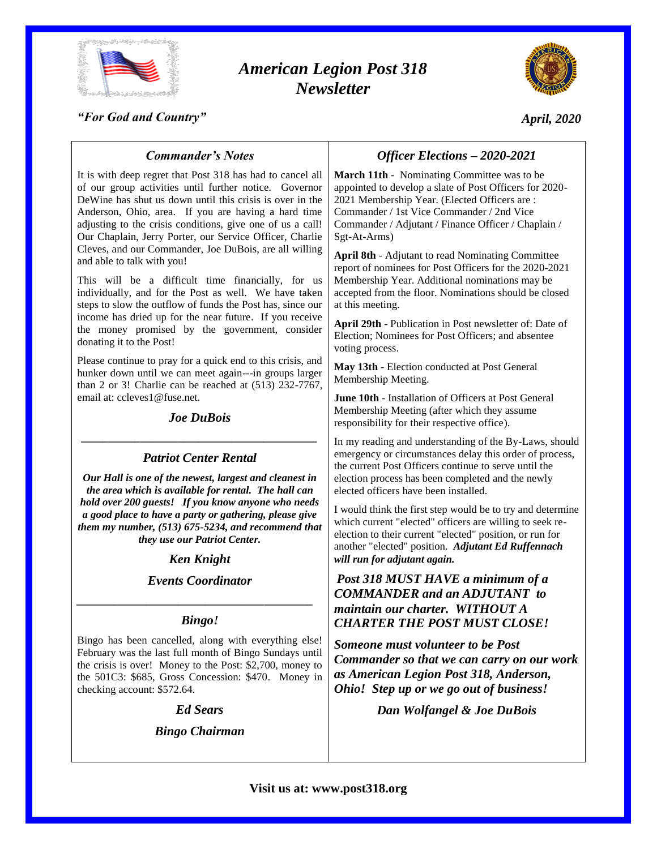

# *American Legion Post 318 Newsletter*



*"For God and Country"*

# *April, 2020*

#### It is with deep regret that Post 318 has had to cancel all *Officer Elections – 2020-2021* **March 11th** - Nominating Committee was to be appointed to develop a slate of Post Officers for 2020- 2021 Membership Year. (Elected Officers are : Commander / 1st Vice Commander / 2nd Vice Commander / Adjutant / Finance Officer / Chaplain / Sgt-At-Arms)

**April 8th** - Adjutant to read Nominating Committee report of nominees for Post Officers for the 2020-2021 Membership Year. Additional nominations may be accepted from the floor. Nominations should be closed at this meeting.

**April 29th** - Publication in Post newsletter of: Date of Election; Nominees for Post Officers; and absentee voting process.

**May 13th** - Election conducted at Post General Membership Meeting.

**June 10th** - Installation of Officers at Post General Membership Meeting (after which they assume responsibility for their respective office).

In my reading and understanding of the By-Laws, should emergency or circumstances delay this order of process, the current Post Officers continue to serve until the election process has been completed and the newly elected officers have been installed.

I would think the first step would be to try and determine which current "elected" officers are willing to seek reelection to their current "elected" position, or run for another "elected" position. *Adjutant Ed Ruffennach will run for adjutant again.*

# *Post 318 MUST HAVE a minimum of a COMMANDER and an ADJUTANT to maintain our charter. WITHOUT A CHARTER THE POST MUST CLOSE!*

*Someone must volunteer to be Post Commander so that we can carry on our work as American Legion Post 318, Anderson, Ohio! Step up or we go out of business!*

*Dan Wolfangel & Joe DuBois*

# *Commander's Notes*

of our group activities until further notice. Governor DeWine has shut us down until this crisis is over in the Anderson, Ohio, area. If you are having a hard time adjusting to the crisis conditions, give one of us a call! Our Chaplain, Jerry Porter, our Service Officer, Charlie Cleves, and our Commander, Joe DuBois, are all willing and able to talk with you!

This will be a difficult time financially, for us individually, and for the Post as well. We have taken steps to slow the outflow of funds the Post has, since our income has dried up for the near future. If you receive the money promised by the government, consider donating it to the Post!

Please continue to pray for a quick end to this crisis, and hunker down until we can meet again---in groups larger than 2 or 3! Charlie can be reached at (513) 232-7767, email at: ccleves1@fuse.net.

# *Joe DuBois \_\_\_\_\_\_\_\_\_\_\_\_\_\_\_\_\_\_\_\_\_\_\_\_\_\_\_\_\_\_\_\_\_\_\_\_\_\_\_\_\_\_\_\_*

# *Patriot Center Rental*

*Our Hall is one of the newest, largest and cleanest in the area which is available for rental. The hall can hold over 200 guests! If you know anyone who needs a good place to have a party or gathering, please give them my number, (513) 675-5234, and recommend that they use our Patriot Center.*

# *Ken Knight*

# *Events Coordinator*

# *\_\_\_\_\_\_\_\_\_\_\_\_\_\_\_\_\_\_\_\_\_\_\_\_\_\_\_\_\_\_\_\_\_\_\_\_\_\_\_\_\_\_\_\_ Bingo!*

Bingo has been cancelled, along with everything else! February was the last full month of Bingo Sundays until the crisis is over! Money to the Post: \$2,700, money to the 501C3: \$685, Gross Concession: \$470. Money in checking account: \$572.64.

# *Ed Sears*

*Bingo Chairman*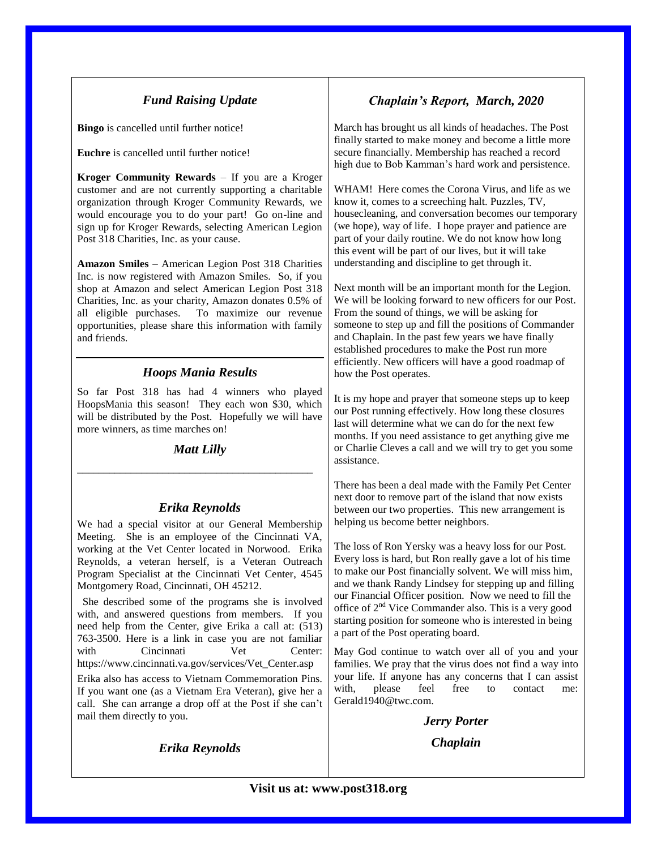# *Fund Raising Update*

**Bingo** is cancelled until further notice!

**Euchre** is cancelled until further notice!

**Kroger Community Rewards** – If you are a Kroger customer and are not currently supporting a charitable organization through Kroger Community Rewards, we would encourage you to do your part! Go on-line and sign up for Kroger Rewards, selecting American Legion Post 318 Charities, Inc. as your cause.

**Amazon Smiles** – American Legion Post 318 Charities Inc. is now registered with Amazon Smiles. So, if you shop at Amazon and select American Legion Post 318 Charities, Inc. as your charity, Amazon donates 0.5% of all eligible purchases. To maximize our revenue opportunities, please share this information with family and friends.

### *Hoops Mania Results*

So far Post 318 has had 4 winners who played HoopsMania this season! They each won \$30, which will be distributed by the Post. Hopefully we will have more winners, as time marches on!

#### *Matt Lilly*

\_\_\_\_\_\_\_\_\_\_\_\_\_\_\_\_\_\_\_\_\_\_\_\_\_\_\_\_\_\_\_\_\_\_\_\_\_\_\_\_\_\_\_\_

### *Erika Reynolds*

We had a special visitor at our General Membership Meeting. She is an employee of the Cincinnati VA, working at the Vet Center located in Norwood. Erika Reynolds, a veteran herself, is a Veteran Outreach Program Specialist at the Cincinnati Vet Center, 4545 Montgomery Road, Cincinnati, OH 45212.

 She described some of the programs she is involved with, and answered questions from members. If you need help from the Center, give Erika a call at: (513) 763-3500. Here is a link in case you are not familiar with Cincinnati Vet Center: https://www.cincinnati.va.gov/services/Vet\_Center.asp

Erika also has access to Vietnam Commemoration Pins. If you want one (as a Vietnam Era Veteran), give her a call. She can arrange a drop off at the Post if she can't mail them directly to you.

### *Erika Reynolds*

# *Chaplain's Report, March, 2020*

March has brought us all kinds of headaches. The Post finally started to make money and become a little more secure financially. Membership has reached a record high due to Bob Kamman's hard work and persistence.

WHAM! Here comes the Corona Virus, and life as we know it, comes to a screeching halt. Puzzles, TV, housecleaning, and conversation becomes our temporary (we hope), way of life. I hope prayer and patience are part of your daily routine. We do not know how long this event will be part of our lives, but it will take understanding and discipline to get through it.

Next month will be an important month for the Legion. We will be looking forward to new officers for our Post. From the sound of things, we will be asking for someone to step up and fill the positions of Commander and Chaplain. In the past few years we have finally established procedures to make the Post run more efficiently. New officers will have a good roadmap of how the Post operates.

It is my hope and prayer that someone steps up to keep our Post running effectively. How long these closures last will determine what we can do for the next few months. If you need assistance to get anything give me or Charlie Cleves a call and we will try to get you some assistance.

There has been a deal made with the Family Pet Center next door to remove part of the island that now exists between our two properties. This new arrangement is helping us become better neighbors.

The loss of Ron Yersky was a heavy loss for our Post. Every loss is hard, but Ron really gave a lot of his time to make our Post financially solvent. We will miss him, and we thank Randy Lindsey for stepping up and filling our Financial Officer position. Now we need to fill the office of 2nd Vice Commander also. This is a very good starting position for someone who is interested in being a part of the Post operating board.

May God continue to watch over all of you and your families. We pray that the virus does not find a way into your life. If anyone has any concerns that I can assist with, please feel free to contact me: Gerald1940@twc.com.

> *Jerry Porter Chaplain*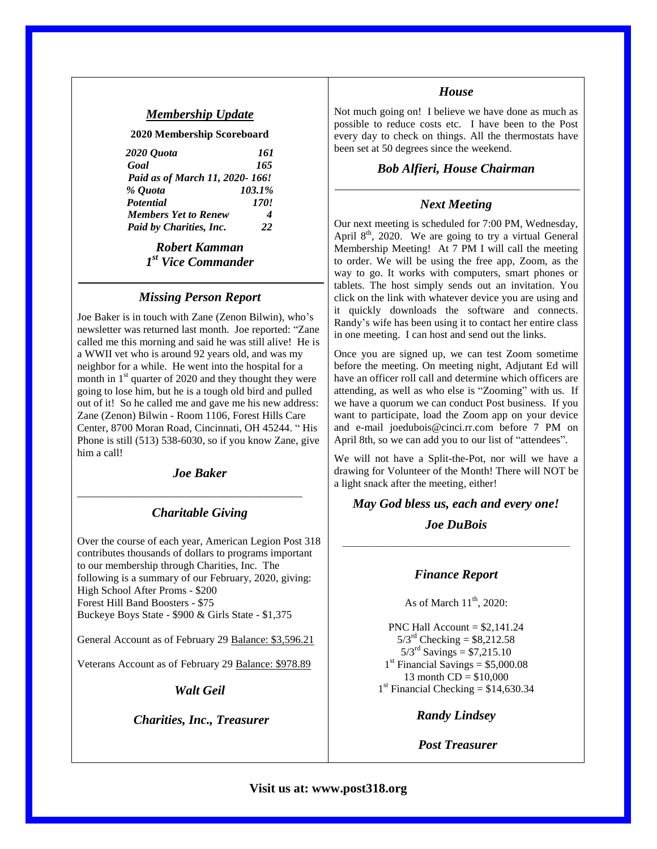### *Membership Update*

**2020 Membership Scoreboard**

| 2020 Ouota                     | 161         |
|--------------------------------|-------------|
| Goal                           | 165         |
| Paid as of March 11, 2020-166! |             |
| % Ouota                        | 103.1%      |
| Potential                      | <i>170!</i> |
| <b>Members Yet to Renew</b>    | 4           |
| Paid by Charities, Inc.        | 22          |

*Robert Kamman 1 st Vice Commander*

### *Missing Person Report*

Joe Baker is in touch with Zane (Zenon Bilwin), who's newsletter was returned last month. Joe reported: "Zane called me this morning and said he was still alive! He is a WWII vet who is around 92 years old, and was my neighbor for a while. He went into the hospital for a month in  $1<sup>st</sup>$  quarter of 2020 and they thought they were going to lose him, but he is a tough old bird and pulled out of it! So he called me and gave me his new address: Zane (Zenon) Bilwin - Room 1106, Forest Hills Care Center, 8700 Moran Road, Cincinnati, OH 45244. " His Phone is still (513) 538-6030, so if you know Zane, give him a call!

#### *Joe Baker*

\_\_\_\_\_\_\_\_\_\_\_\_\_\_\_\_\_\_\_\_\_\_\_\_\_\_\_\_\_\_\_\_\_\_\_\_\_\_\_\_\_\_

### *Charitable Giving*

Over the course of each year, American Legion Post 318 contributes thousands of dollars to programs important to our membership through Charities, Inc. The following is a summary of our February, 2020, giving: High School After Proms - \$200 Forest Hill Band Boosters - \$75 Buckeye Boys State - \$900 & Girls State - \$1,375

General Account as of February 29 Balance: \$3,596.21

Veterans Account as of February 29 Balance: \$978.89

*Walt Geil*

*Charities, Inc., Treasurer*

#### *House*

Not much going on! I believe we have done as much as possible to reduce costs etc. I have been to the Post every day to check on things. All the thermostats have been set at 50 degrees since the weekend.

#### *Bob Alfieri, House Chairman*

### *Next Meeting*

Our next meeting is scheduled for 7:00 PM, Wednesday, April  $8<sup>th</sup>$ , 2020. We are going to try a virtual General Membership Meeting! At 7 PM I will call the meeting to order. We will be using the free app, Zoom, as the way to go. It works with computers, smart phones or tablets. The host simply sends out an invitation. You click on the link with whatever device you are using and it quickly downloads the software and connects. Randy's wife has been using it to contact her entire class in one meeting. I can host and send out the links.

Once you are signed up, we can test Zoom sometime before the meeting. On meeting night, Adjutant Ed will have an officer roll call and determine which officers are attending, as well as who else is "Zooming" with us. If we have a quorum we can conduct Post business. If you want to participate, load the Zoom app on your device and e-mail joedubois@cinci.rr.com before 7 PM on April 8th, so we can add you to our list of "attendees".

We will not have a Split-the-Pot, nor will we have a drawing for Volunteer of the Month! There will NOT be a light snack after the meeting, either!

*May God bless us, each and every one! Joe DuBois*

\_\_\_\_\_\_\_\_\_\_\_\_\_\_\_\_\_\_\_\_\_\_\_\_\_\_\_\_\_\_\_\_\_\_\_\_\_\_\_\_\_\_\_\_\_\_\_\_\_\_\_\_\_

#### *Finance Report*

As of March  $11<sup>th</sup>$ , 2020:

PNC Hall Account  $= $2,141.24$  $5/3^{rd}$  Checking = \$8,212.58  $5/3^{rd}$  Savings = \$7,215.10  $1<sup>st</sup>$  Financial Savings = \$5,000.08 13 month  $CD = $10,000$  $1<sup>st</sup>$  Financial Checking = \$14,630.34

*Randy Lindsey*

### *Post Treasurer*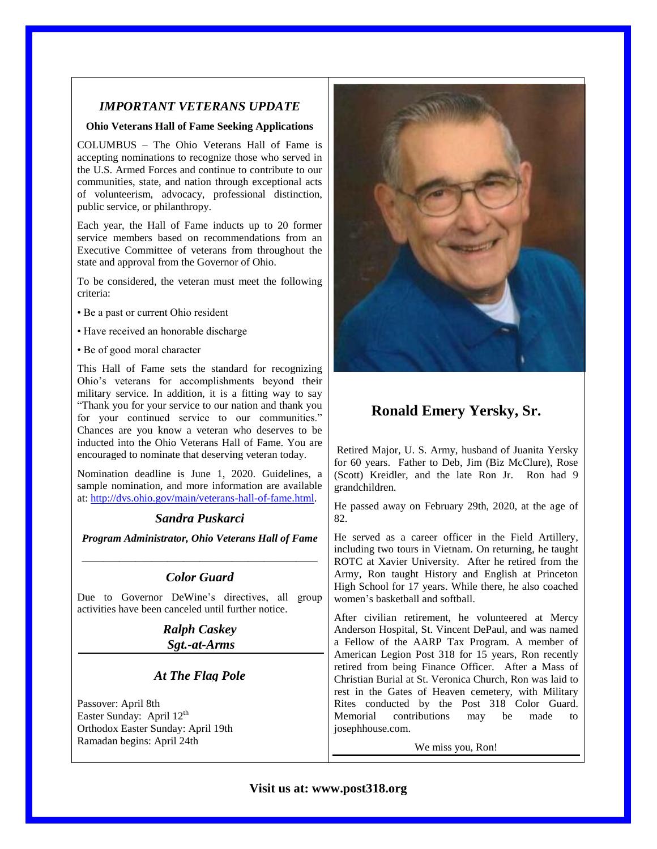## *IMPORTANT VETERANS UPDATE*

#### **Ohio Veterans Hall of Fame Seeking Applications**

COLUMBUS – The Ohio Veterans Hall of Fame is accepting nominations to recognize those who served in the U.S. Armed Forces and continue to contribute to our communities, state, and nation through exceptional acts of volunteerism, advocacy, professional distinction, public service, or philanthropy.

Each year, the Hall of Fame inducts up to 20 former service members based on recommendations from an Executive Committee of veterans from throughout the state and approval from the Governor of Ohio.

To be considered, the veteran must meet the following criteria:

- Be a past or current Ohio resident
- Have received an honorable discharge
- Be of good moral character

This Hall of Fame sets the standard for recognizing Ohio's veterans for accomplishments beyond their military service. In addition, it is a fitting way to say "Thank you for your service to our nation and thank you for your continued service to our communities." Chances are you know a veteran who deserves to be inducted into the Ohio Veterans Hall of Fame. You are encouraged to nominate that deserving veteran today.

Nomination deadline is June 1, 2020. Guidelines, a sample nomination, and more information are available at: [http://dvs.ohio.gov/main/veterans-hall-of-fame.html.](http://dvs.ohio.gov/main/veterans-hall-of-fame.html)

# *Sandra Puskarci*

*Program Administrator, Ohio Veterans Hall of Fame* \_\_\_\_\_\_\_\_\_\_\_\_\_\_\_\_\_\_\_\_\_\_\_\_\_\_\_\_\_\_\_\_\_\_\_\_\_\_\_\_\_\_\_\_

# *Color Guard*

Due to Governor DeWine's directives, all group activities have been canceled until further notice.

> *Ralph Caskey Sgt.-at-Arms*

# *At The Flag Pole*

Passover: April 8th Easter Sunday: April  $12^{th}$ Orthodox Easter Sunday: April 19th Ramadan begins: April 24th



# **Ronald Emery Yersky, Sr.**

Retired Major, U. S. Army, husband of Juanita Yersky for 60 years. Father to Deb, Jim (Biz McClure), Rose (Scott) Kreidler, and the late Ron Jr. Ron had 9 grandchildren.

He passed away on February 29th, 2020, at the age of 82.

He served as a career officer in the Field Artillery, including two tours in Vietnam. On returning, he taught ROTC at Xavier University. After he retired from the Army, Ron taught History and English at Princeton High School for 17 years. While there, he also coached women's basketball and softball.

After civilian retirement, he volunteered at Mercy Anderson Hospital, St. Vincent DePaul, and was named a Fellow of the AARP Tax Program. A member of American Legion Post 318 for 15 years, Ron recently retired from being Finance Officer. After a Mass of Christian Burial at St. Veronica Church, Ron was laid to rest in the Gates of Heaven cemetery, with Military Rites conducted by the Post 318 Color Guard. Memorial contributions may be made to josephhouse.com.

We miss you, Ron!